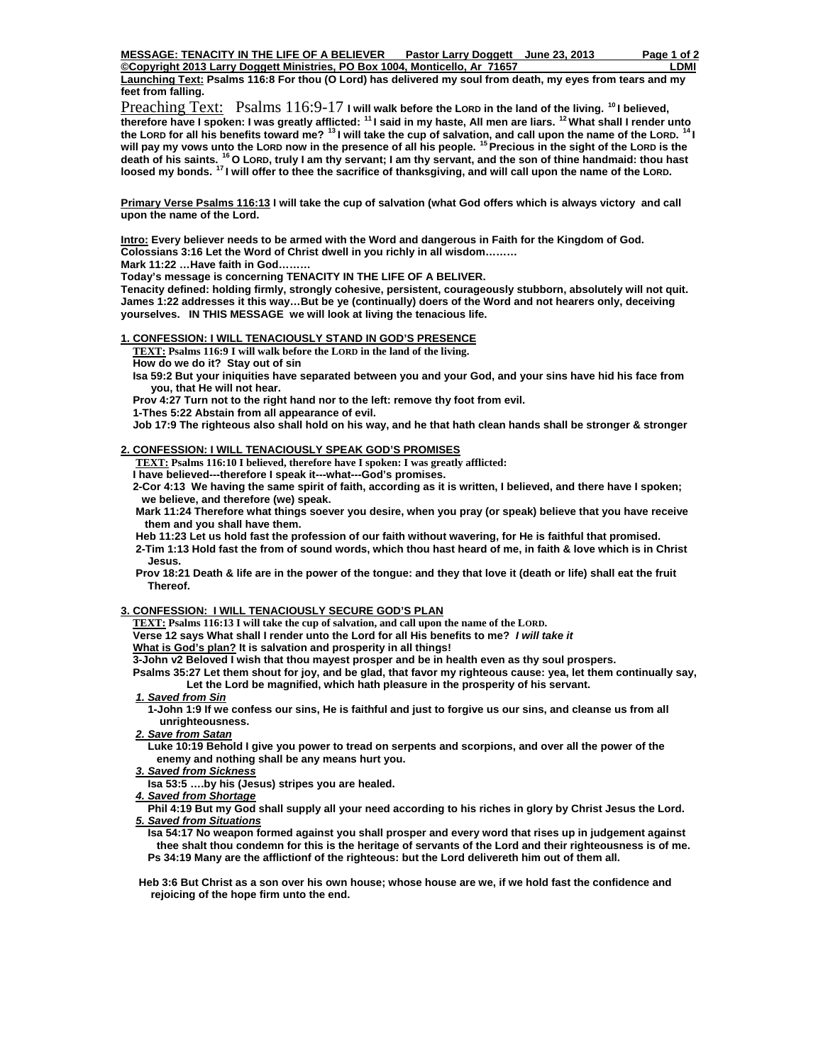**Copyright 2013 Larry Doggett Ministries, PO Box 1004, Monticello, Ar 71657** Element Communisty Communisty Communisty **Launching Text: Psalms 116:8 For thou (O Lord) has delivered my soul from death, my eyes from tears and my feet from falling.** 

Preaching Text: Psalms 116:9-17 **I will walk before the LORD in the land of the living.** <sup>10</sup> I believed, **therefore have I spoken: I was greatly afflicted: 11 I said in my haste, All men are liars. 12 What shall I render unto the LORD for all his benefits toward me? 13 I will take the cup of salvation, and call upon the name of the LORD. 14 I will pay my vows unto the LORD now in the presence of all his people. 15 Precious in the sight of the LORD is the death of his saints. 16 O LORD, truly I am thy servant; I am thy servant, and the son of thine handmaid: thou hast loosed my bonds. 17 I will offer to thee the sacrifice of thanksgiving, and will call upon the name of the LORD.** 

**Primary Verse Psalms 116:13 I will take the cup of salvation (what God offers which is always victory and call upon the name of the Lord.** 

**Intro: Every believer needs to be armed with the Word and dangerous in Faith for the Kingdom of God. Colossians 3:16 Let the Word of Christ dwell in you richly in all wisdom………** 

**Mark 11:22 …Have faith in God………** 

**Today's message is concerning TENACITY IN THE LIFE OF A BELIVER.** 

**Tenacity defined: holding firmly, strongly cohesive, persistent, courageously stubborn, absolutely will not quit. James 1:22 addresses it this way…But be ye (continually) doers of the Word and not hearers only, deceiving yourselves. IN THIS MESSAGE we will look at living the tenacious life.** 

## **1. CONFESSION: I WILL TENACIOUSLY STAND IN GOD'S PRESENCE**

 **TEXT: Psalms 116:9 I will walk before the LORD in the land of the living.**

 **How do we do it? Stay out of sin** 

 **Isa 59:2 But your iniquities have separated between you and your God, and your sins have hid his face from you, that He will not hear.** 

 **Prov 4:27 Turn not to the right hand nor to the left: remove thy foot from evil.** 

 **1-Thes 5:22 Abstain from all appearance of evil.** 

 **Job 17:9 The righteous also shall hold on his way, and he that hath clean hands shall be stronger & stronger** 

#### **2. CONFESSION: I WILL TENACIOUSLY SPEAK GOD'S PROMISES**

 **TEXT: Psalms 116:10 I believed, therefore have I spoken: I was greatly afflicted:** 

 **I have believed---therefore I speak it---what---God's promises.** 

 **2-Cor 4:13 We having the same spirit of faith, according as it is written, I believed, and there have I spoken; we believe, and therefore (we) speak.** 

 **Mark 11:24 Therefore what things soever you desire, when you pray (or speak) believe that you have receive them and you shall have them.** 

 **Heb 11:23 Let us hold fast the profession of our faith without wavering, for He is faithful that promised.** 

 **2-Tim 1:13 Hold fast the from of sound words, which thou hast heard of me, in faith & love which is in Christ Jesus.** 

 **Prov 18:21 Death & life are in the power of the tongue: and they that love it (death or life) shall eat the fruit Thereof.** 

## **3. CONFESSION: I WILL TENACIOUSLY SECURE GOD'S PLAN**

 **TEXT: Psalms 116:13 I will take the cup of salvation, and call upon the name of the LORD.** 

 **Verse 12 says What shall I render unto the Lord for all His benefits to me?** *I will take it* 

**What is God's plan? It is salvation and prosperity in all things!** 

 **3-John v2 Beloved I wish that thou mayest prosper and be in health even as thy soul prospers.** 

 **Psalms 35:27 Let them shout for joy, and be glad, that favor my righteous cause: yea, let them continually say, Let the Lord be magnified, which hath pleasure in the prosperity of his servant.** 

#### *1. Saved from Sin*

 **1-John 1:9 If we confess our sins, He is faithful and just to forgive us our sins, and cleanse us from all unrighteousness.** 

*2. Save from Satan*

 **Luke 10:19 Behold I give you power to tread on serpents and scorpions, and over all the power of the enemy and nothing shall be any means hurt you.** 

*3. Saved from Sickness*

 **Isa 53:5 ….by his (Jesus) stripes you are healed.** 

*4. Saved from Shortage*

 **Phil 4:19 But my God shall supply all your need according to his riches in glory by Christ Jesus the Lord.** *5. Saved from Situations*

 **Isa 54:17 No weapon formed against you shall prosper and every word that rises up in judgement against thee shalt thou condemn for this is the heritage of servants of the Lord and their righteousness is of me. Ps 34:19 Many are the afflictionf of the righteous: but the Lord delivereth him out of them all.** 

 **Heb 3:6 But Christ as a son over his own house; whose house are we, if we hold fast the confidence and rejoicing of the hope firm unto the end.**